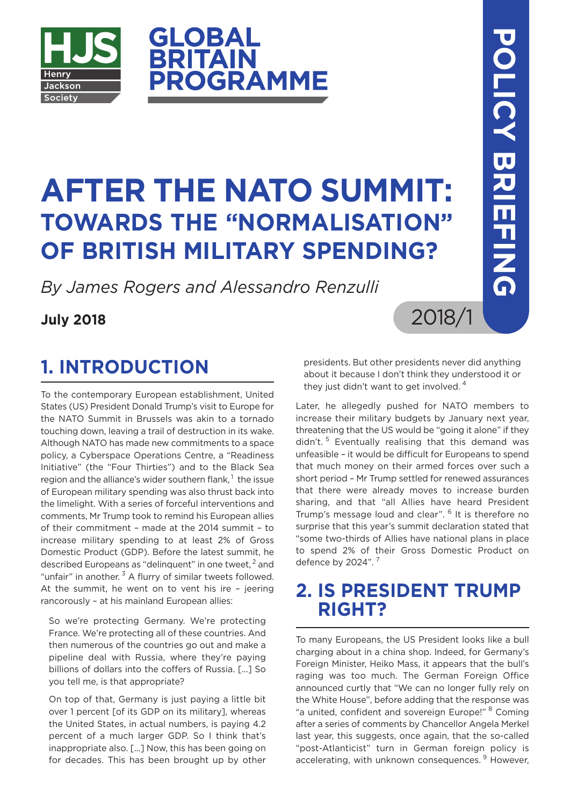

# **AFTER THE NATO SUMMIT: TOWARDS THE "NORMALISATION" OF BRITISH MILITARY SPENDING?**

**ROGRAMME** 

*By James Rogers and Alessandro Renzulli*

**GLOBAL<br>BRITAIN** 

#### **July 2018**

### **1. INTRODUCTION**

To the contemporary European establishment, United States (US) President Donald Trump's visit to Europe for the NATO Summit in Brussels was akin to a tornado touching down, leaving a trail of destruction in its wake. Although NATO has made new commitments to a space policy, a Cyberspace Operations Centre, a "Readiness Initiative" (the "Four Thirties") and to the Black Sea region and the alliance's wider southern flank, <sup>1</sup> the issue of European military spending was also thrust back into the limelight. With a series of forceful interventions and comments, Mr Trump took to remind his European allies of their commitment – made at the 2014 summit – to increase military spending to at least 2% of Gross Domestic Product (GDP). Before the latest summit, he described Europeans as "delinquent" in one tweet, <sup>2</sup> and "unfair" in another.  $3$  A flurry of similar tweets followed. At the summit, he went on to vent his ire – jeering rancorously – at his mainland European allies:

So we're protecting Germany. We're protecting France. We're protecting all of these countries. And then numerous of the countries go out and make a pipeline deal with Russia, where they're paying billions of dollars into the coffers of Russia. [...] So you tell me, is that appropriate?

On top of that, Germany is just paying a little bit over 1 percent [of its GDP on its military], whereas the United States, in actual numbers, is paying 4.2 percent of a much larger GDP. So I think that's inappropriate also. [...] Now, this has been going on for decades. This has been brought up by other presidents. But other presidents never did anything about it because I don't think they understood it or they just didn't want to get involved.<sup>4</sup>

2018/1

Later, he allegedly pushed for NATO members to increase their military budgets by January next year, threatening that the US would be "going it alone" if they didn't. <sup>5</sup> Eventually realising that this demand was unfeasible – it would be difficult for Europeans to spend that much money on their armed forces over such a short period – Mr Trump settled for renewed assurances that there were already moves to increase burden sharing, and that "all Allies have heard President Trump's message loud and clear". <sup>6</sup> It is therefore no surprise that this year's summit declaration stated that "some two-thirds of Allies have national plans in place to spend 2% of their Gross Domestic Product on defence by 2024".<sup>7</sup>

### **2. IS PRESIDENT TRUMP RIGHT?**

To many Europeans, the US President looks like a bull charging about in a china shop. Indeed, for Germany's Foreign Minister, Heiko Mass, it appears that the bull's raging was too much. The German Foreign Office announced curtly that "We can no longer fully rely on the White House", before adding that the response was "a united, confident and sovereign Europe!" <sup>8</sup> Coming after a series of comments by Chancellor Angela Merkel last year, this suggests, once again, that the so-called "post-Atlanticist" turn in German foreign policy is accelerating, with unknown consequences.<sup>9</sup> However,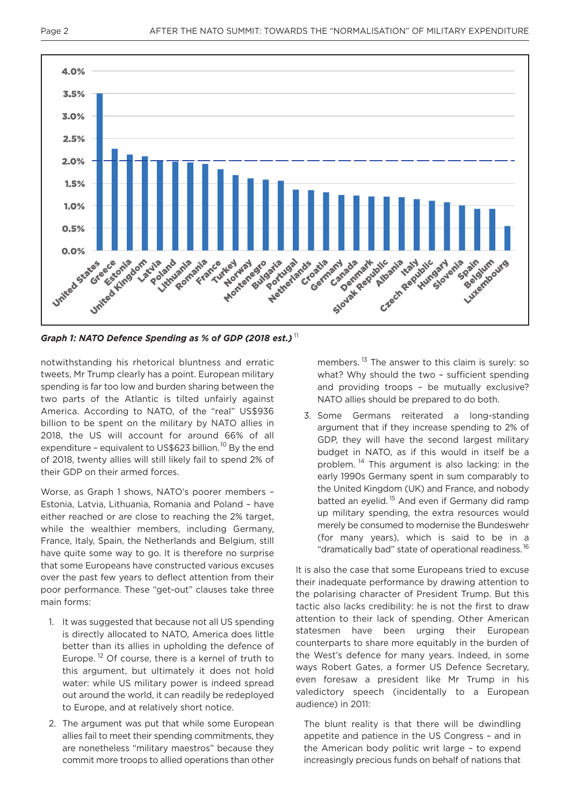

*Graph 1: NATO Defence Spending as % of GDP (2018 est.)* <sup>11</sup>

notwithstanding his rhetorical bluntness and erratic tweets, Mr Trump clearly has a point. European military spending is far too low and burden sharing between the two parts of the Atlantic is tilted unfairly against America. According to NATO, of the "real" US\$936 billion to be spent on the military by NATO allies in 2018, the US will account for around 66% of all expenditure – equivalent to US\$623 billion. <sup>10</sup> By the end of 2018, twenty allies will still likely fail to spend 2% of their GDP on their armed forces.

Worse, as Graph 1 shows, NATO's poorer members – Estonia, Latvia, Lithuania, Romania and Poland – have either reached or are close to reaching the 2% target, while the wealthier members, including Germany, France, Italy, Spain, the Netherlands and Belgium, still have quite some way to go. It is therefore no surprise that some Europeans have constructed various excuses over the past few years to deflect attention from their poor performance. These "get-out" clauses take three main forms:

- 1. It was suggested that because not all US spending is directly allocated to NATO, America does little better than its allies in upholding the defence of Europe.<sup>12</sup> Of course, there is a kernel of truth to this argument, but ultimately it does not hold water: while US military power is indeed spread out around the world, it can readily be redeployed to Europe, and at relatively short notice.
- 2. The argument was put that while some European allies fail to meet their spending commitments, they are nonetheless "military maestros" because they commit more troops to allied operations than other

members.<sup>13</sup> The answer to this claim is surely: so what? Why should the two – sufficient spending and providing troops – be mutually exclusive? NATO allies should be prepared to do both.

3. Some Germans reiterated a long-standing argument that if they increase spending to 2% of GDP, they will have the second largest military budget in NATO, as if this would in itself be a problem. <sup>14</sup> This argument is also lacking: in the early 1990s Germany spent in sum comparably to the United Kingdom (UK) and France, and nobody batted an evelid.<sup>15</sup> And even if Germany did ramp up military spending, the extra resources would merely be consumed to modernise the Bundeswehr (for many years), which is said to be in a "dramatically bad" state of operational readiness.<sup>16</sup>

It is also the case that some Europeans tried to excuse their inadequate performance by drawing attention to the polarising character of President Trump. But this tactic also lacks credibility: he is not the first to draw attention to their lack of spending. Other American statesmen have been urging their European counterparts to share more equitably in the burden of the West's defence for many years. Indeed, in some ways Robert Gates, a former US Defence Secretary, even foresaw a president like Mr Trump in his valedictory speech (incidentally to a European audience) in 2011:

The blunt reality is that there will be dwindling appetite and patience in the US Congress – and in the American body politic writ large – to expend increasingly precious funds on behalf of nations that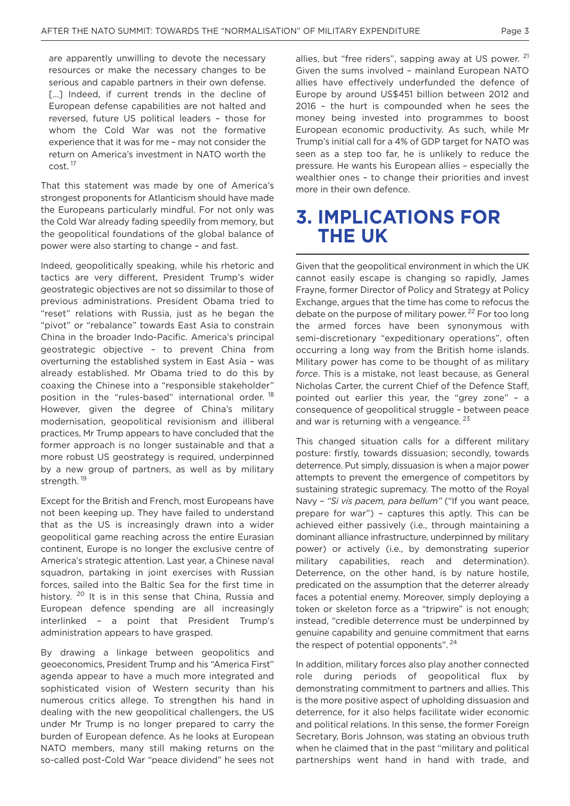are apparently unwilling to devote the necessary resources or make the necessary changes to be serious and capable partners in their own defense. [...] Indeed, if current trends in the decline of European defense capabilities are not halted and reversed, future US political leaders – those for whom the Cold War was not the formative experience that it was for me – may not consider the return on America's investment in NATO worth the cost. <sup>17</sup>

That this statement was made by one of America's strongest proponents for Atlanticism should have made the Europeans particularly mindful. For not only was the Cold War already fading speedily from memory, but the geopolitical foundations of the global balance of power were also starting to change – and fast.

Indeed, geopolitically speaking, while his rhetoric and tactics are very different, President Trump's wider geostrategic objectives are not so dissimilar to those of previous administrations. President Obama tried to "reset" relations with Russia, just as he began the "pivot" or "rebalance" towards East Asia to constrain China in the broader Indo-Pacific. America's principal geostrategic objective – to prevent China from overturning the established system in East Asia – was already established. Mr Obama tried to do this by coaxing the Chinese into a "responsible stakeholder" position in the "rules-based" international order.<sup>18</sup> However, given the degree of China's military modernisation, geopolitical revisionism and illiberal practices, Mr Trump appears to have concluded that the former approach is no longer sustainable and that a more robust US geostrategy is required, underpinned by a new group of partners, as well as by military strength.<sup>19</sup>

Except for the British and French, most Europeans have not been keeping up. They have failed to understand that as the US is increasingly drawn into a wider geopolitical game reaching across the entire Eurasian continent, Europe is no longer the exclusive centre of America's strategic attention. Last year, a Chinese naval squadron, partaking in joint exercises with Russian forces, sailed into the Baltic Sea for the first time in history. <sup>20</sup> It is in this sense that China, Russia and European defence spending are all increasingly interlinked – a point that President Trump's administration appears to have grasped.

By drawing a linkage between geopolitics and geoeconomics, President Trump and his "America First" agenda appear to have a much more integrated and sophisticated vision of Western security than his numerous critics allege. To strengthen his hand in dealing with the new geopolitical challengers, the US under Mr Trump is no longer prepared to carry the burden of European defence. As he looks at European NATO members, many still making returns on the so-called post-Cold War "peace dividend" he sees not allies, but "free riders", sapping away at US power.  $21$ Given the sums involved – mainland European NATO allies have effectively underfunded the defence of Europe by around US\$451 billion between 2012 and 2016 – the hurt is compounded when he sees the money being invested into programmes to boost European economic productivity. As such, while Mr Trump's initial call for a 4% of GDP target for NATO was seen as a step too far, he is unlikely to reduce the pressure. He wants his European allies – especially the wealthier ones – to change their priorities and invest more in their own defence.

#### **3. IMPLICATIONS FOR THE UK**

Given that the geopolitical environment in which the UK cannot easily escape is changing so rapidly, James Frayne, former Director of Policy and Strategy at Policy Exchange, argues that the time has come to refocus the debate on the purpose of military power.<sup>22</sup> For too long the armed forces have been synonymous with semi-discretionary "expeditionary operations", often occurring a long way from the British home islands. Military power has come to be thought of as military *force*. This is a mistake, not least because, as General Nicholas Carter, the current Chief of the Defence Staff, pointed out earlier this year, the "grey zone" – a consequence of geopolitical struggle – between peace and war is returning with a vengeance.  $23$ 

This changed situation calls for a different military posture: firstly, towards dissuasion; secondly, towards deterrence. Put simply, dissuasion is when a major power attempts to prevent the emergence of competitors by sustaining strategic supremacy. The motto of the Royal Navy – *"Si vis pacem, para bellum"* ("If you want peace, prepare for war") – captures this aptly. This can be achieved either passively (i.e., through maintaining a dominant alliance infrastructure, underpinned by military power) or actively (i.e., by demonstrating superior military capabilities, reach and determination). Deterrence, on the other hand, is by nature hostile, predicated on the assumption that the deterrer already faces a potential enemy. Moreover, simply deploying a token or skeleton force as a "tripwire" is not enough; instead, "credible deterrence must be underpinned by genuine capability and genuine commitment that earns the respect of potential opponents".  $24$ 

In addition, military forces also play another connected role during periods of geopolitical flux by demonstrating commitment to partners and allies. This is the more positive aspect of upholding dissuasion and deterrence, for it also helps facilitate wider economic and political relations. In this sense, the former Foreign Secretary, Boris Johnson, was stating an obvious truth when he claimed that in the past "military and political partnerships went hand in hand with trade, and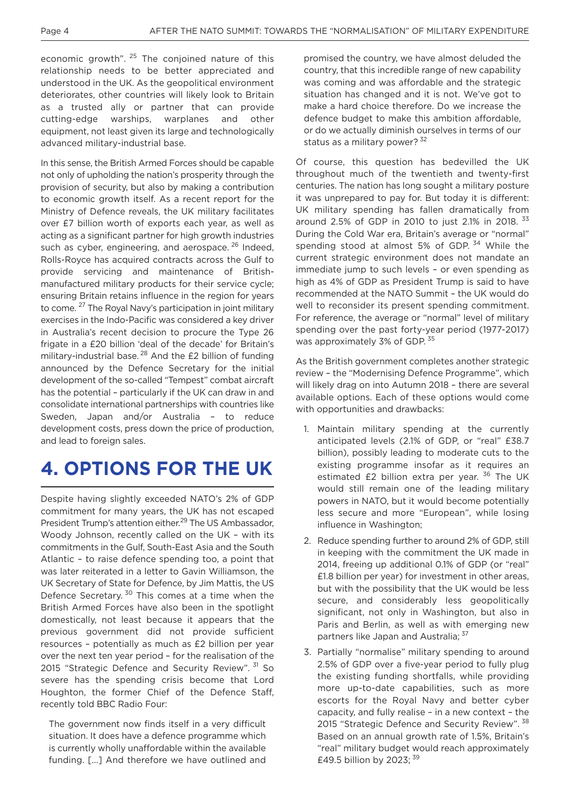economic growth".  $25$  The conjoined nature of this relationship needs to be better appreciated and understood in the UK. As the geopolitical environment deteriorates, other countries will likely look to Britain as a trusted ally or partner that can provide cutting-edge warships, warplanes and other equipment, not least given its large and technologically advanced military-industrial base.

In this sense, the British Armed Forces should be capable not only of upholding the nation's prosperity through the provision of security, but also by making a contribution to economic growth itself. As a recent report for the Ministry of Defence reveals, the UK military facilitates over £7 billion worth of exports each year, as well as acting as a significant partner for high growth industries such as cyber, engineering, and aerospace, <sup>26</sup> Indeed, Rolls-Royce has acquired contracts across the Gulf to provide servicing and maintenance of Britishmanufactured military products for their service cycle; ensuring Britain retains influence in the region for years to come.<sup>27</sup> The Royal Navy's participation in joint military exercises in the Indo-Pacific was considered a key driver in Australia's recent decision to procure the Type 26 frigate in a £20 billion 'deal of the decade' for Britain's military-industrial base.<sup>28</sup> And the £2 billion of funding announced by the Defence Secretary for the initial development of the so-called "Tempest" combat aircraft has the potential – particularly if the UK can draw in and consolidate international partnerships with countries like Sweden, Japan and/or Australia – to reduce development costs, press down the price of production, and lead to foreign sales.

### **4. OPTIONS FOR THE UK**

Despite having slightly exceeded NATO's 2% of GDP commitment for many years, the UK has not escaped President Trump's attention either. <sup>29</sup> The US Ambassador, Woody Johnson, recently called on the UK – with its commitments in the Gulf, South-East Asia and the South Atlantic – to raise defence spending too, a point that was later reiterated in a letter to Gavin Williamson, the UK Secretary of State for Defence, by Jim Mattis, the US Defence Secretary. <sup>30</sup> This comes at a time when the British Armed Forces have also been in the spotlight domestically, not least because it appears that the previous government did not provide sufficient resources – potentially as much as £2 billion per year over the next ten year period – for the realisation of the 2015 "Strategic Defence and Security Review". 31 So severe has the spending crisis become that Lord Houghton, the former Chief of the Defence Staff, recently told BBC Radio Four:

The government now finds itself in a very difficult situation. It does have a defence programme which is currently wholly unaffordable within the available funding. [...] And therefore we have outlined and promised the country, we have almost deluded the country, that this incredible range of new capability was coming and was affordable and the strategic situation has changed and it is not. We've got to make a hard choice therefore. Do we increase the defence budget to make this ambition affordable, or do we actually diminish ourselves in terms of our status as a military power?<sup>32</sup>

Of course, this question has bedevilled the UK throughout much of the twentieth and twenty-first centuries. The nation has long sought a military posture it was unprepared to pay for. But today it is different: UK military spending has fallen dramatically from around 2.5% of GDP in 2010 to just 2.1% in 2018.  $33$ During the Cold War era, Britain's average or "normal" spending stood at almost 5% of GDP.<sup>34</sup> While the current strategic environment does not mandate an immediate jump to such levels – or even spending as high as 4% of GDP as President Trump is said to have recommended at the NATO Summit – the UK would do well to reconsider its present spending commitment. For reference, the average or "normal" level of military spending over the past forty-year period (1977-2017) was approximately 3% of GDP. 35

As the British government completes another strategic review – the "Modernising Defence Programme", which will likely drag on into Autumn 2018 – there are several available options. Each of these options would come with opportunities and drawbacks:

- 1. Maintain military spending at the currently anticipated levels (2.1% of GDP, or "real" £38.7 billion), possibly leading to moderate cuts to the existing programme insofar as it requires an estimated  $E2$  billion extra per year.  $36$  The UK would still remain one of the leading military powers in NATO, but it would become potentially less secure and more "European", while losing influence in Washington;
- 2. Reduce spending further to around 2% of GDP, still in keeping with the commitment the UK made in 2014, freeing up additional 0.1% of GDP (or "real" £1.8 billion per year) for investment in other areas, but with the possibility that the UK would be less secure, and considerably less geopolitically significant, not only in Washington, but also in Paris and Berlin, as well as with emerging new partners like Japan and Australia; 37
- 3. Partially "normalise" military spending to around 2.5% of GDP over a five-year period to fully plug the existing funding shortfalls, while providing more up-to-date capabilities, such as more escorts for the Royal Navy and better cyber capacity, and fully realise – in a new context – the 2015 "Strategic Defence and Security Review". <sup>38</sup> Based on an annual growth rate of 1.5%, Britain's "real" military budget would reach approximately £49.5 billion by 2023; <sup>39</sup>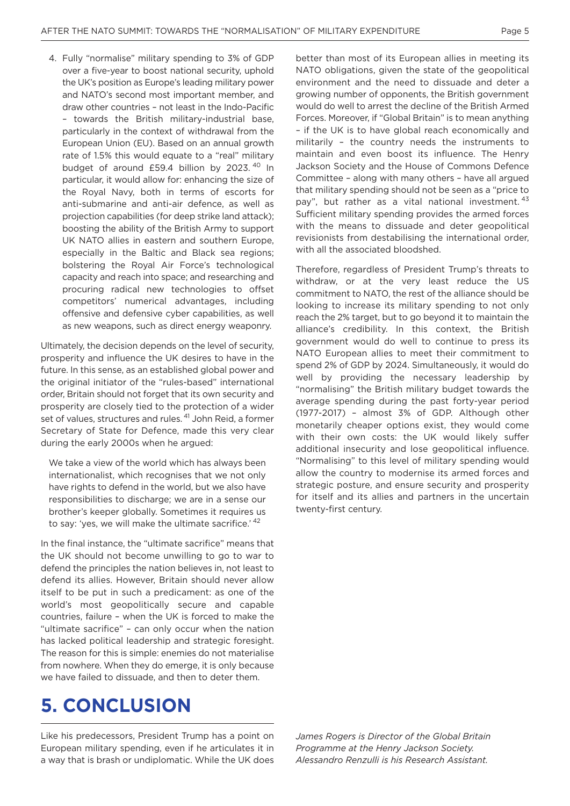4. Fully "normalise" military spending to 3% of GDP over a five-year to boost national security, uphold the UK's position as Europe's leading military power and NATO's second most important member, and draw other countries – not least in the Indo-Pacific – towards the British military-industrial base, particularly in the context of withdrawal from the European Union (EU). Based on an annual growth rate of 1.5% this would equate to a "real" military budget of around £59.4 billion by 2023.<sup>40</sup> In particular, it would allow for: enhancing the size of the Royal Navy, both in terms of escorts for anti-submarine and anti-air defence, as well as projection capabilities (for deep strike land attack); boosting the ability of the British Army to support UK NATO allies in eastern and southern Europe, especially in the Baltic and Black sea regions; bolstering the Royal Air Force's technological capacity and reach into space; and researching and procuring radical new technologies to offset competitors' numerical advantages, including offensive and defensive cyber capabilities, as well as new weapons, such as direct energy weaponry.

Ultimately, the decision depends on the level of security, prosperity and influence the UK desires to have in the future. In this sense, as an established global power and the original initiator of the "rules-based" international order, Britain should not forget that its own security and prosperity are closely tied to the protection of a wider set of values, structures and rules. <sup>41</sup> John Reid, a former Secretary of State for Defence, made this very clear during the early 2000s when he argued:

We take a view of the world which has always been internationalist, which recognises that we not only have rights to defend in the world, but we also have responsibilities to discharge; we are in a sense our brother's keeper globally. Sometimes it requires us to say: 'yes, we will make the ultimate sacrifice.' <sup>42</sup>

In the final instance, the "ultimate sacrifice" means that the UK should not become unwilling to go to war to defend the principles the nation believes in, not least to defend its allies. However, Britain should never allow itself to be put in such a predicament: as one of the world's most geopolitically secure and capable countries, failure – when the UK is forced to make the "ultimate sacrifice" – can only occur when the nation has lacked political leadership and strategic foresight. The reason for this is simple: enemies do not materialise from nowhere. When they do emerge, it is only because we have failed to dissuade, and then to deter them.

### **5. CONCLUSION**

Like his predecessors, President Trump has a point on European military spending, even if he articulates it in a way that is brash or undiplomatic. While the UK does better than most of its European allies in meeting its NATO obligations, given the state of the geopolitical environment and the need to dissuade and deter a growing number of opponents, the British government would do well to arrest the decline of the British Armed Forces. Moreover, if "Global Britain" is to mean anything – if the UK is to have global reach economically and militarily – the country needs the instruments to maintain and even boost its influence. The Henry Jackson Society and the House of Commons Defence Committee – along with many others – have all argued that military spending should not be seen as a "price to pay", but rather as a vital national investment. 43 Sufficient military spending provides the armed forces with the means to dissuade and deter geopolitical revisionists from destabilising the international order, with all the associated bloodshed.

Therefore, regardless of President Trump's threats to withdraw, or at the very least reduce the US commitment to NATO, the rest of the alliance should be looking to increase its military spending to not only reach the 2% target, but to go beyond it to maintain the alliance's credibility. In this context, the British government would do well to continue to press its NATO European allies to meet their commitment to spend 2% of GDP by 2024. Simultaneously, it would do well by providing the necessary leadership by "normalising" the British military budget towards the average spending during the past forty-year period (1977-2017) – almost 3% of GDP. Although other monetarily cheaper options exist, they would come with their own costs: the UK would likely suffer additional insecurity and lose geopolitical influence. "Normalising" to this level of military spending would allow the country to modernise its armed forces and strategic posture, and ensure security and prosperity for itself and its allies and partners in the uncertain twenty-first century.

*James Rogers is Director of the Global Britain Programme at the Henry Jackson Society. Alessandro Renzulli is his Research Assistant.*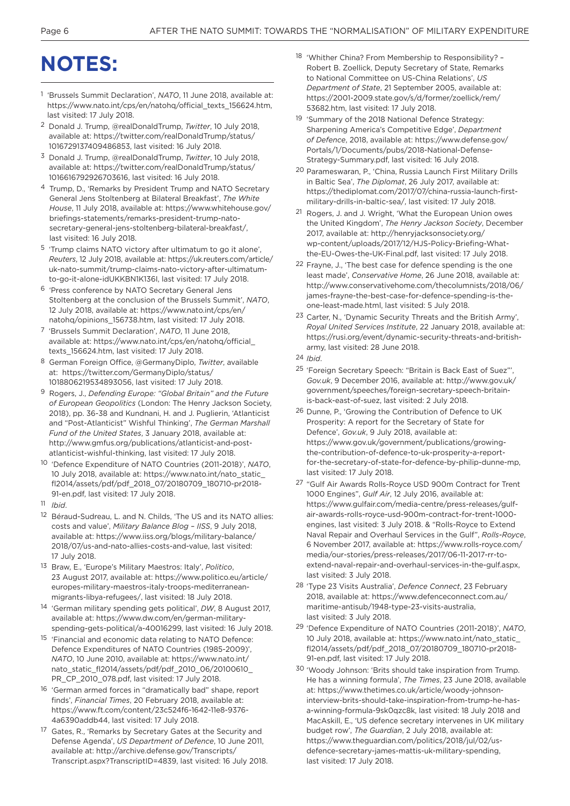## **NOTES:**

- 1 'Brussels Summit Declaration', *NATO*, 11 June 2018, available at: https://www.nato.int/cps/en/natohq/official\_texts\_156624.htm, last visited: 17 July 2018.
- 2 Donald J. Trump, @realDonaldTrump, *Twitter*, 10 July 2018, available at: https://twitter.com/realDonaldTrump/status/ 1016729137409486853, last visited: 16 July 2018.
- 3 Donald J. Trump, @realDonaldTrump, *Twitter*, 10 July 2018, available at: https://twitter.com/realDonaldTrump/status/ 1016616792926703616, last visited: 16 July 2018.
- 4 Trump, D., 'Remarks by President Trump and NATO Secretary General Jens Stoltenberg at Bilateral Breakfast', *The White House*, 11 July 2018, available at: https://www.whitehouse.gov/ briefings-statements/remarks-president-trump-natosecretary-general-jens-stoltenberg-bilateral-breakfast/, last visited: 16 July 2018.
- 5 'Trump claims NATO victory after ultimatum to go it alone', *Reuters*, 12 July 2018, available at: https://uk.reuters.com/article/ uk-nato-summit/trump-claims-nato-victory-after-ultimatumto-go-it-alone-idUKKBN1K136I, last visited: 17 July 2018.
- 6 'Press conference by NATO Secretary General Jens Stoltenberg at the conclusion of the Brussels Summit', *NATO*, 12 July 2018, available at: https://www.nato.int/cps/en/ natohq/opinions\_156738.htm, last visited: 17 July 2018.
- 7 'Brussels Summit Declaration', *NATO*, 11 June 2018, available at: https://www.nato.int/cps/en/natohq/official\_ texts\_156624.htm, last visited: 17 July 2018.
- 8 German Foreign Office, @GermanyDiplo, *Twitter*, available at: https://twitter.com/GermanyDiplo/status/ 1018806219534893056, last visited: 17 July 2018.
- 9 Rogers, J., *Defending Europe: "Global Britain" and the Future of European Geopolitics* (London: The Henry Jackson Society, 2018), pp. 36-38 and Kundnani, H. and J. Puglierin, 'Atlanticist and "Post-Atlanticist" Wishful Thinking', *The German Marshall Fund of the United States*, 3 January 2018, available at: http://www.gmfus.org/publications/atlanticist-and-postatlanticist-wishful-thinking, last visited: 17 July 2018.
- 10 'Defence Expenditure of NATO Countries (2011-2018)', *NATO*, 10 July 2018, available at: https://www.nato.int/nato\_static\_ fl2014/assets/pdf/pdf\_2018\_07/20180709\_180710-pr2018- 91-en.pdf, last visited: 17 July 2018.
- 11 *Ibid*.
- 12 Béraud-Sudreau, L. and N. Childs, 'The US and its NATO allies: costs and value', *Military Balance Blog – IISS*, 9 July 2018, available at: https://www.iiss.org/blogs/military-balance/ 2018/07/us-and-nato-allies-costs-and-value, last visited: 17 July 2018.
- 13 Braw, E., 'Europe's Military Maestros: Italy', *Politico*, 23 August 2017, available at: https://www.politico.eu/article/ europes-military-maestros-italy-troops-mediterraneanmigrants-libya-refugees/, last visited: 18 July 2018.
- 14 'German military spending gets political', *DW*, 8 August 2017, available at: https://www.dw.com/en/german-militaryspending-gets-political/a-40016299, last visited: 16 July 2018.
- 15 'Financial and economic data relating to NATO Defence: Defence Expenditures of NATO Countries (1985-2009)', *NATO*, 10 June 2010, available at: https://www.nato.int/ nato\_static\_fl2014/assets/pdf/pdf\_2010\_06/20100610\_ PR\_CP\_2010\_078.pdf, last visited: 17 July 2018.
- 16 'German armed forces in "dramatically bad" shape, report finds', *Financial Times*, 20 February 2018, available at: https://www.ft.com/content/23c524f6-1642-11e8-9376- 4a6390addb44, last visited: 17 July 2018.
- 17 Gates, R., 'Remarks by Secretary Gates at the Security and Defense Agenda', *US Department of Defence*, 10 June 2011, available at: http://archive.defense.gov/Transcripts/ Transcript.aspx?TranscriptID=4839, last visited: 16 July 2018.
- 18 'Whither China? From Membership to Responsibility? Robert B. Zoellick, Deputy Secretary of State, Remarks to National Committee on US-China Relations', *US Department of State*, 21 September 2005, available at: https://2001-2009.state.gov/s/d/former/zoellick/rem/ 53682.htm, last visited: 17 July 2018.
- 19 'Summary of the 2018 National Defence Strategy: Sharpening America's Competitive Edge', *Department of Defence*, 2018, available at: https://www.defense.gov/ Portals/1/Documents/pubs/2018-National-Defense-Strategy-Summary.pdf, last visited: 16 July 2018.
- 20 Parameswaran, P., 'China, Russia Launch First Military Drills in Baltic Sea', *The Diplomat*, 26 July 2017, available at: https://thediplomat.com/2017/07/china-russia-launch-firstmilitary-drills-in-baltic-sea/, last visited: 17 July 2018.
- 21 Rogers, J. and J. Wright, 'What the European Union owes the United Kingdom', *The Henry Jackson Society*, December 2017, available at: http://henryjacksonsociety.org/ wp-content/uploads/2017/12/HJS-Policy-Briefing-Whatthe-EU-Owes-the-UK-Final.pdf, last visited: 17 July 2018.
- 22 Frayne, J., 'The best case for defence spending is the one least made', *Conservative Home*, 26 June 2018, available at: http://www.conservativehome.com/thecolumnists/2018/06/ james-frayne-the-best-case-for-defence-spending-is-theone-least-made.html, last visited: 5 July 2018.
- 23 Carter, N., 'Dynamic Security Threats and the British Army', *Royal United Services Institute*, 22 January 2018, available at: https://rusi.org/event/dynamic-security-threats-and-britisharmy, last visited: 28 June 2018.
- 24 *Ibid*.
- 25 'Foreign Secretary Speech: "Britain is Back East of Suez"', *Gov.uk*, 9 December 2016, available at: http://www.gov.uk/ government/speeches/foreign-secretary-speech-britainis-back-east-of-suez, last visited: 2 July 2018.
- 26 Dunne, P., 'Growing the Contribution of Defence to UK Prosperity: A report for the Secretary of State for Defence', *Gov.uk*, 9 July 2018, available at: https://www.gov.uk/government/publications/growingthe-contribution-of-defence-to-uk-prosperity-a-reportfor-the-secretary-of-state-for-defence-by-philip-dunne-mp, last visited: 17 July 2018.
- 27 "Gulf Air Awards Rolls-Royce USD 900m Contract for Trent 1000 Engines", *Gulf Air*, 12 July 2016, available at: https://www.gulfair.com/media-centre/press-releases/gulfair-awards-rolls-royce-usd-900m-contract-for-trent-1000 engines, last visited: 3 July 2018. & "Rolls-Royce to Extend Naval Repair and Overhaul Services in the Gulf", *Rolls-Royce*, 6 November 2017, available at: https://www.rolls-royce.com/ media/our-stories/press-releases/2017/06-11-2017-rr-toextend-naval-repair-and-overhaul-services-in-the-gulf.aspx, last visited: 3 July 2018.
- 28 'Type 23 Visits Australia', *Defence Connect*, 23 February 2018, available at: https://www.defenceconnect.com.au/ maritime-antisub/1948-type-23-visits-australia, last visited: 3 July 2018.
- 29 'Defence Expenditure of NATO Countries (2011-2018)', *NATO*, 10 July 2018, available at: https://www.nato.int/nato\_static\_ fl2014/assets/pdf/pdf\_2018\_07/20180709\_180710-pr2018- 91-en.pdf, last visited: 17 July 2018.
- 30 'Woody Johnson: 'Brits should take inspiration from Trump. He has a winning formula', *The Times*, 23 June 2018, available at: https://www.thetimes.co.uk/article/woody-johnsoninterview-brits-should-take-inspiration-from-trump-he-hasa-winning-formula-9sk0qzc8k, last visited: 18 July 2018 and MacAskill, E., 'US defence secretary intervenes in UK military budget row', *The Guardian*, 2 July 2018, available at: https://www.theguardian.com/politics/2018/jul/02/usdefence-secretary-james-mattis-uk-military-spending, last visited: 17 July 2018.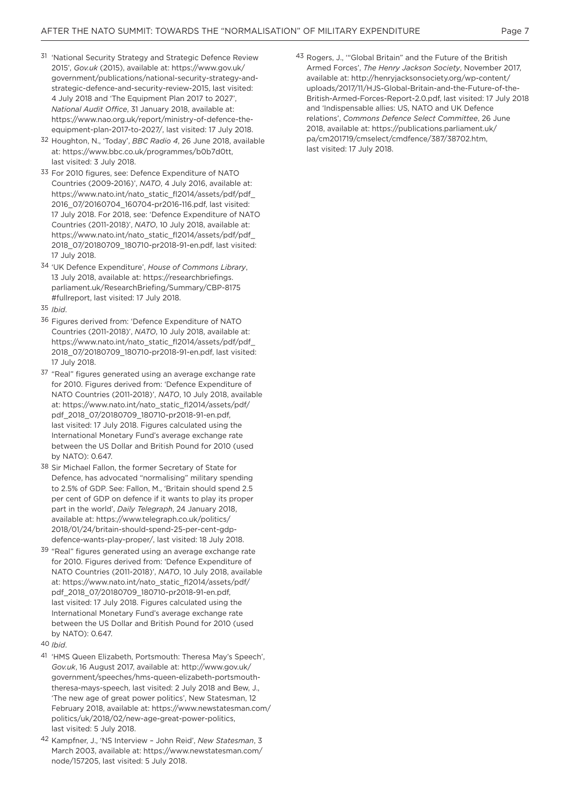- 31 'National Security Strategy and Strategic Defence Review 2015', *Gov.uk* (2015), available at: https://www.gov.uk/ government/publications/national-security-strategy-andstrategic-defence-and-security-review-2015, last visited: 4 July 2018 and 'The Equipment Plan 2017 to 2027', *National Audit Office*, 31 January 2018, available at: https://www.nao.org.uk/report/ministry-of-defence-theequipment-plan-2017-to-2027/, last visited: 17 July 2018.
- 32 Houghton, N., 'Today', *BBC Radio 4*, 26 June 2018, available at: https://www.bbc.co.uk/programmes/b0b7d0tt, last visited: 3 July 2018.
- 33 For 2010 figures, see: Defence Expenditure of NATO Countries (2009-2016)', *NATO*, 4 July 2016, available at: https://www.nato.int/nato\_static\_fl2014/assets/pdf/pdf 2016\_07/20160704\_160704-pr2016-116.pdf, last visited: 17 July 2018. For 2018, see: 'Defence Expenditure of NATO Countries (2011-2018)', *NATO*, 10 July 2018, available at: https://www.nato.int/nato\_static\_fl2014/assets/pdf/pdf\_ 2018\_07/20180709\_180710-pr2018-91-en.pdf, last visited: 17 July 2018.
- 34 'UK Defence Expenditure', *House of Commons Library*, 13 July 2018, available at: https://researchbriefings. parliament.uk/ResearchBriefing/Summary/CBP-8175 #fullreport, last visited: 17 July 2018.
- 35 *Ibid*.
- 36 Figures derived from: 'Defence Expenditure of NATO Countries (2011-2018)', *NATO*, 10 July 2018, available at: https://www.nato.int/nato\_static\_fl2014/assets/pdf/pdf 2018\_07/20180709\_180710-pr2018-91-en.pdf, last visited: 17 July 2018.
- 37 "Real" figures generated using an average exchange rate for 2010. Figures derived from: 'Defence Expenditure of NATO Countries (2011-2018)', *NATO*, 10 July 2018, available at: https://www.nato.int/nato\_static\_fl2014/assets/pdf/ pdf\_2018\_07/20180709\_180710-pr2018-91-en.pdf, last visited: 17 July 2018. Figures calculated using the International Monetary Fund's average exchange rate between the US Dollar and British Pound for 2010 (used by NATO): 0.647.
- 38 Sir Michael Fallon, the former Secretary of State for Defence, has advocated "normalising" military spending to 2.5% of GDP. See: Fallon, M., 'Britain should spend 2.5 per cent of GDP on defence if it wants to play its proper part in the world', *Daily Telegraph*, 24 January 2018, available at: https://www.telegraph.co.uk/politics/ 2018/01/24/britain-should-spend-25-per-cent-gdpdefence-wants-play-proper/, last visited: 18 July 2018.
- 39 "Real" figures generated using an average exchange rate for 2010. Figures derived from: 'Defence Expenditure of NATO Countries (2011-2018)', *NATO*, 10 July 2018, available at: https://www.nato.int/nato\_static\_fl2014/assets/pdf/ pdf\_2018\_07/20180709\_180710-pr2018-91-en.pdf, last visited: 17 July 2018. Figures calculated using the International Monetary Fund's average exchange rate between the US Dollar and British Pound for 2010 (used by NATO): 0.647.
- 40 *Ibid*.
- 41 'HMS Queen Elizabeth, Portsmouth: Theresa May's Speech', *Gov.uk*, 16 August 2017, available at: http://www.gov.uk/ government/speeches/hms-queen-elizabeth-portsmouththeresa-mays-speech, last visited: 2 July 2018 and Bew, J., 'The new age of great power politics', New Statesman, 12 February 2018, available at: https://www.newstatesman.com/ politics/uk/2018/02/new-age-great-power-politics, last visited: 5 July 2018.
- 42 Kampfner, J., 'NS Interview John Reid', *New Statesman*, 3 March 2003, available at: https://www.newstatesman.com/ node/157205, last visited: 5 July 2018.

43 Rogers, J., '"Global Britain" and the Future of the British Armed Forces', *The Henry Jackson Society*, November 2017, available at: http://henryjacksonsociety.org/wp-content/ uploads/2017/11/HJS-Global-Britain-and-the-Future-of-the-British-Armed-Forces-Report-2.0.pdf, last visited: 17 July 2018 and 'Indispensable allies: US, NATO and UK Defence relations', *Commons Defence Select Committee*, 26 June 2018, available at: https://publications.parliament.uk/ pa/cm201719/cmselect/cmdfence/387/38702.htm, last visited: 17 July 2018.